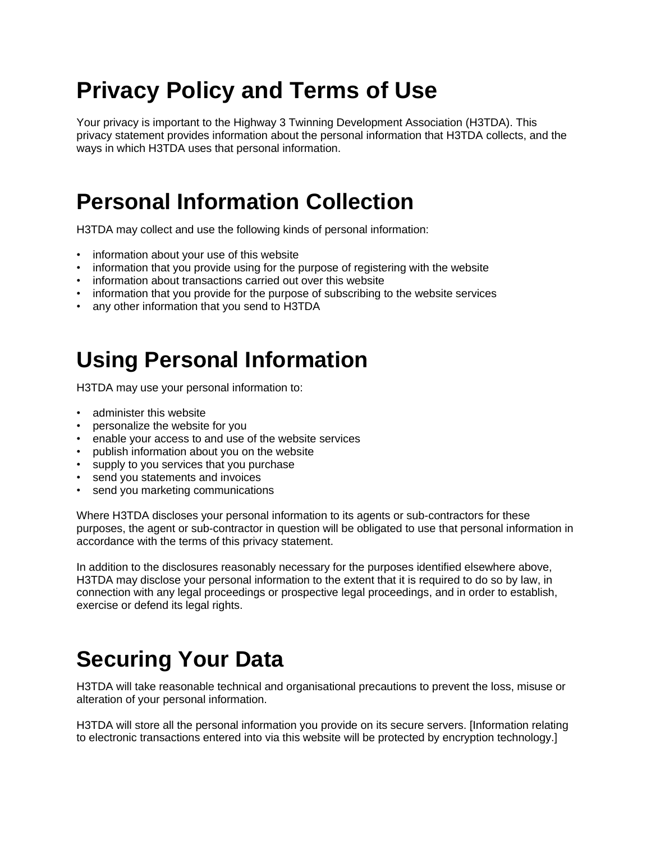# **Privacy Policy and Terms of Use**

Your privacy is important to the Highway 3 Twinning Development Association (H3TDA). This privacy statement provides information about the personal information that H3TDA collects, and the ways in which H3TDA uses that personal information.

#### **Personal Information Collection**

H3TDA may collect and use the following kinds of personal information:

- information about your use of this website
- information that you provide using for the purpose of registering with the website
- information about transactions carried out over this website
- information that you provide for the purpose of subscribing to the website services
- any other information that you send to H3TDA

## **Using Personal Information**

H3TDA may use your personal information to:

- administer this website
- personalize the website for you
- enable your access to and use of the website services
- publish information about you on the website
- supply to you services that you purchase
- send you statements and invoices
- send you marketing communications

Where H3TDA discloses your personal information to its agents or sub-contractors for these purposes, the agent or sub-contractor in question will be obligated to use that personal information in accordance with the terms of this privacy statement.

In addition to the disclosures reasonably necessary for the purposes identified elsewhere above, H3TDA may disclose your personal information to the extent that it is required to do so by law, in connection with any legal proceedings or prospective legal proceedings, and in order to establish, exercise or defend its legal rights.

### **Securing Your Data**

H3TDA will take reasonable technical and organisational precautions to prevent the loss, misuse or alteration of your personal information.

H3TDA will store all the personal information you provide on its secure servers. [Information relating to electronic transactions entered into via this website will be protected by encryption technology.]